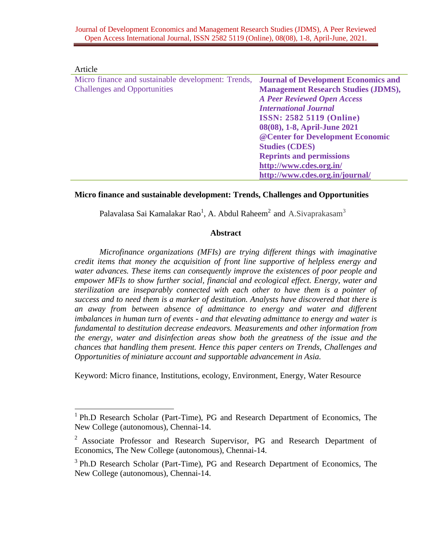| Article                                            |                                             |
|----------------------------------------------------|---------------------------------------------|
| Micro finance and sustainable development: Trends, | <b>Journal of Development Economics and</b> |
| <b>Challenges and Opportunities</b>                | <b>Management Research Studies (JDMS),</b>  |
|                                                    | <b>A Peer Reviewed Open Access</b>          |
|                                                    | <b>International Journal</b>                |
|                                                    | <b>ISSN: 2582 5119 (Online)</b>             |
|                                                    | 08(08), 1-8, April-June 2021                |
|                                                    | @ Center for Development Economic           |
|                                                    | <b>Studies (CDES)</b>                       |
|                                                    | <b>Reprints and permissions</b>             |
|                                                    | http://www.cdes.org.in/                     |
|                                                    | http://www.cdes.org.in/journal/             |

# **Micro finance and sustainable development: Trends, Challenges and Opportunities**

Palavalasa Sai Kamalakar Rao<sup>1</sup>, A. Abdul Raheem<sup>2</sup> and A.Sivaprakasam<sup>3</sup>

### **Abstract**

*Microfinance organizations (MFIs) are trying different things with imaginative credit items that money the acquisition of front line supportive of helpless energy and water advances. These items can consequently improve the existences of poor people and empower MFIs to show further social, financial and ecological effect. Energy, water and sterilization are inseparably connected with each other to have them is a pointer of success and to need them is a marker of destitution. Analysts have discovered that there is an away from between absence of admittance to energy and water and different imbalances in human turn of events - and that elevating admittance to energy and water is fundamental to destitution decrease endeavors. Measurements and other information from the energy, water and disinfection areas show both the greatness of the issue and the chances that handling them present. Hence this paper centers on Trends, Challenges and Opportunities of miniature account and supportable advancement in Asia.*

Keyword: Micro finance, Institutions, ecology, Environment, Energy, Water Resource

<sup>&</sup>lt;sup>1</sup> Ph.D Research Scholar (Part-Time), PG and Research Department of Economics, The New College (autonomous), Chennai-14.

<sup>&</sup>lt;sup>2</sup> Associate Professor and Research Supervisor, PG and Research Department of Economics, The New College (autonomous), Chennai-14.

<sup>&</sup>lt;sup>3</sup> Ph.D Research Scholar (Part-Time), PG and Research Department of Economics, The New College (autonomous), Chennai-14.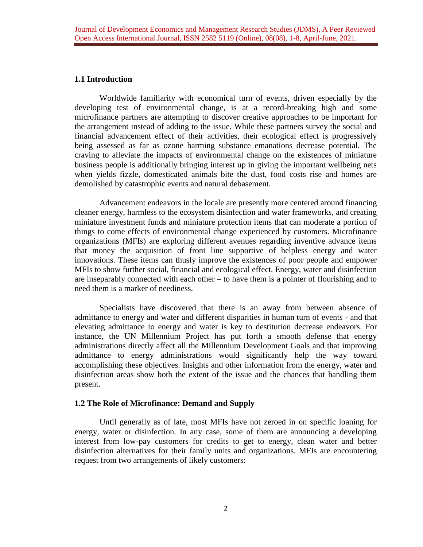## **1.1 Introduction**

Worldwide familiarity with economical turn of events, driven especially by the developing test of environmental change, is at a record-breaking high and some microfinance partners are attempting to discover creative approaches to be important for the arrangement instead of adding to the issue. While these partners survey the social and financial advancement effect of their activities, their ecological effect is progressively being assessed as far as ozone harming substance emanations decrease potential. The craving to alleviate the impacts of environmental change on the existences of miniature business people is additionally bringing interest up in giving the important wellbeing nets when yields fizzle, domesticated animals bite the dust, food costs rise and homes are demolished by catastrophic events and natural debasement.

Advancement endeavors in the locale are presently more centered around financing cleaner energy, harmless to the ecosystem disinfection and water frameworks, and creating miniature investment funds and miniature protection items that can moderate a portion of things to come effects of environmental change experienced by customers. Microfinance organizations (MFIs) are exploring different avenues regarding inventive advance items that money the acquisition of front line supportive of helpless energy and water innovations. These items can thusly improve the existences of poor people and empower MFIs to show further social, financial and ecological effect. Energy, water and disinfection are inseparably connected with each other – to have them is a pointer of flourishing and to need them is a marker of neediness.

Specialists have discovered that there is an away from between absence of admittance to energy and water and different disparities in human turn of events - and that elevating admittance to energy and water is key to destitution decrease endeavors. For instance, the UN Millennium Project has put forth a smooth defense that energy administrations directly affect all the Millennium Development Goals and that improving admittance to energy administrations would significantly help the way toward accomplishing these objectives. Insights and other information from the energy, water and disinfection areas show both the extent of the issue and the chances that handling them present.

## **1.2 The Role of Microfinance: Demand and Supply**

Until generally as of late, most MFIs have not zeroed in on specific loaning for energy, water or disinfection. In any case, some of them are announcing a developing interest from low-pay customers for credits to get to energy, clean water and better disinfection alternatives for their family units and organizations. MFIs are encountering request from two arrangements of likely customers: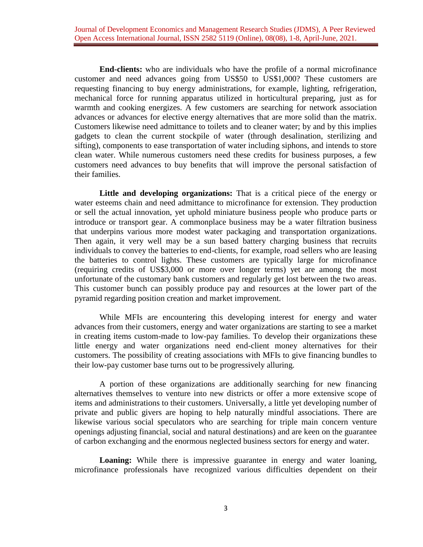**End-clients:** who are individuals who have the profile of a normal microfinance customer and need advances going from US\$50 to US\$1,000? These customers are requesting financing to buy energy administrations, for example, lighting, refrigeration, mechanical force for running apparatus utilized in horticultural preparing, just as for warmth and cooking energizes. A few customers are searching for network association advances or advances for elective energy alternatives that are more solid than the matrix. Customers likewise need admittance to toilets and to cleaner water; by and by this implies gadgets to clean the current stockpile of water (through desalination, sterilizing and sifting), components to ease transportation of water including siphons, and intends to store clean water. While numerous customers need these credits for business purposes, a few customers need advances to buy benefits that will improve the personal satisfaction of their families.

**Little and developing organizations:** That is a critical piece of the energy or water esteems chain and need admittance to microfinance for extension. They production or sell the actual innovation, yet uphold miniature business people who produce parts or introduce or transport gear. A commonplace business may be a water filtration business that underpins various more modest water packaging and transportation organizations. Then again, it very well may be a sun based battery charging business that recruits individuals to convey the batteries to end-clients, for example, road sellers who are leasing the batteries to control lights. These customers are typically large for microfinance (requiring credits of US\$3,000 or more over longer terms) yet are among the most unfortunate of the customary bank customers and regularly get lost between the two areas. This customer bunch can possibly produce pay and resources at the lower part of the pyramid regarding position creation and market improvement.

While MFIs are encountering this developing interest for energy and water advances from their customers, energy and water organizations are starting to see a market in creating items custom-made to low-pay families. To develop their organizations these little energy and water organizations need end-client money alternatives for their customers. The possibility of creating associations with MFIs to give financing bundles to their low-pay customer base turns out to be progressively alluring.

A portion of these organizations are additionally searching for new financing alternatives themselves to venture into new districts or offer a more extensive scope of items and administrations to their customers. Universally, a little yet developing number of private and public givers are hoping to help naturally mindful associations. There are likewise various social speculators who are searching for triple main concern venture openings adjusting financial, social and natural destinations) and are keen on the guarantee of carbon exchanging and the enormous neglected business sectors for energy and water.

**Loaning:** While there is impressive guarantee in energy and water loaning, microfinance professionals have recognized various difficulties dependent on their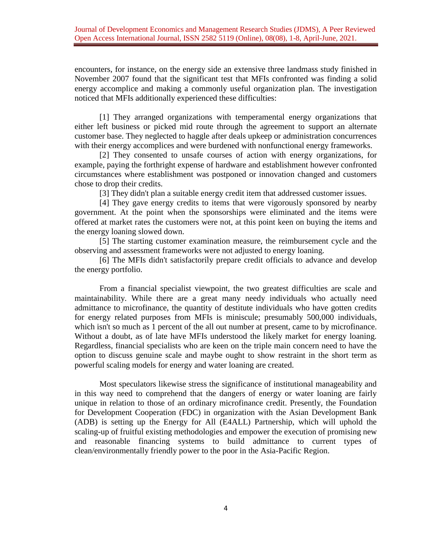encounters, for instance, on the energy side an extensive three landmass study finished in November 2007 found that the significant test that MFIs confronted was finding a solid energy accomplice and making a commonly useful organization plan. The investigation noticed that MFIs additionally experienced these difficulties:

[1] They arranged organizations with temperamental energy organizations that either left business or picked mid route through the agreement to support an alternate customer base. They neglected to haggle after deals upkeep or administration concurrences with their energy accomplices and were burdened with nonfunctional energy frameworks.

[2] They consented to unsafe courses of action with energy organizations, for example, paying the forthright expense of hardware and establishment however confronted circumstances where establishment was postponed or innovation changed and customers chose to drop their credits.

[3] They didn't plan a suitable energy credit item that addressed customer issues.

[4] They gave energy credits to items that were vigorously sponsored by nearby government. At the point when the sponsorships were eliminated and the items were offered at market rates the customers were not, at this point keen on buying the items and the energy loaning slowed down.

[5] The starting customer examination measure, the reimbursement cycle and the observing and assessment frameworks were not adjusted to energy loaning.

[6] The MFIs didn't satisfactorily prepare credit officials to advance and develop the energy portfolio.

From a financial specialist viewpoint, the two greatest difficulties are scale and maintainability. While there are a great many needy individuals who actually need admittance to microfinance, the quantity of destitute individuals who have gotten credits for energy related purposes from MFIs is miniscule; presumably 500,000 individuals, which isn't so much as 1 percent of the all out number at present, came to by microfinance. Without a doubt, as of late have MFIs understood the likely market for energy loaning. Regardless, financial specialists who are keen on the triple main concern need to have the option to discuss genuine scale and maybe ought to show restraint in the short term as powerful scaling models for energy and water loaning are created.

Most speculators likewise stress the significance of institutional manageability and in this way need to comprehend that the dangers of energy or water loaning are fairly unique in relation to those of an ordinary microfinance credit. Presently, the Foundation for Development Cooperation (FDC) in organization with the Asian Development Bank (ADB) is setting up the Energy for All (E4ALL) Partnership, which will uphold the scaling-up of fruitful existing methodologies and empower the execution of promising new and reasonable financing systems to build admittance to current types of clean/environmentally friendly power to the poor in the Asia-Pacific Region.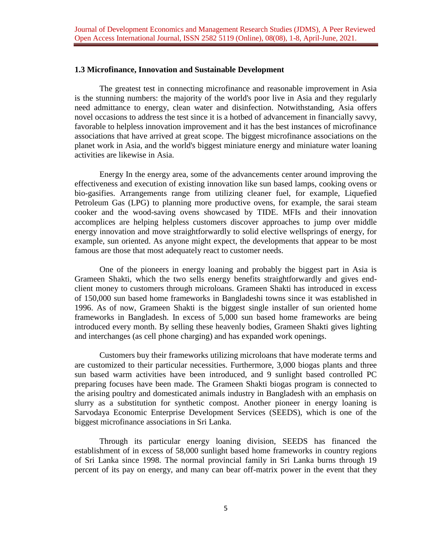#### **1.3 Microfinance, Innovation and Sustainable Development**

The greatest test in connecting microfinance and reasonable improvement in Asia is the stunning numbers: the majority of the world's poor live in Asia and they regularly need admittance to energy, clean water and disinfection. Notwithstanding, Asia offers novel occasions to address the test since it is a hotbed of advancement in financially savvy, favorable to helpless innovation improvement and it has the best instances of microfinance associations that have arrived at great scope. The biggest microfinance associations on the planet work in Asia, and the world's biggest miniature energy and miniature water loaning activities are likewise in Asia.

Energy In the energy area, some of the advancements center around improving the effectiveness and execution of existing innovation like sun based lamps, cooking ovens or bio-gasifies. Arrangements range from utilizing cleaner fuel, for example, Liquefied Petroleum Gas (LPG) to planning more productive ovens, for example, the sarai steam cooker and the wood-saving ovens showcased by TIDE. MFIs and their innovation accomplices are helping helpless customers discover approaches to jump over middle energy innovation and move straightforwardly to solid elective wellsprings of energy, for example, sun oriented. As anyone might expect, the developments that appear to be most famous are those that most adequately react to customer needs.

One of the pioneers in energy loaning and probably the biggest part in Asia is Grameen Shakti, which the two sells energy benefits straightforwardly and gives endclient money to customers through microloans. Grameen Shakti has introduced in excess of 150,000 sun based home frameworks in Bangladeshi towns since it was established in 1996. As of now, Grameen Shakti is the biggest single installer of sun oriented home frameworks in Bangladesh. In excess of 5,000 sun based home frameworks are being introduced every month. By selling these heavenly bodies, Grameen Shakti gives lighting and interchanges (as cell phone charging) and has expanded work openings.

Customers buy their frameworks utilizing microloans that have moderate terms and are customized to their particular necessities. Furthermore, 3,000 biogas plants and three sun based warm activities have been introduced, and 9 sunlight based controlled PC preparing focuses have been made. The Grameen Shakti biogas program is connected to the arising poultry and domesticated animals industry in Bangladesh with an emphasis on slurry as a substitution for synthetic compost. Another pioneer in energy loaning is Sarvodaya Economic Enterprise Development Services (SEEDS), which is one of the biggest microfinance associations in Sri Lanka.

Through its particular energy loaning division, SEEDS has financed the establishment of in excess of 58,000 sunlight based home frameworks in country regions of Sri Lanka since 1998. The normal provincial family in Sri Lanka burns through 19 percent of its pay on energy, and many can bear off-matrix power in the event that they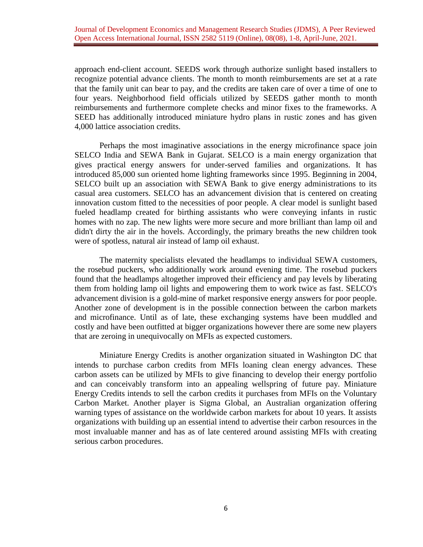approach end-client account. SEEDS work through authorize sunlight based installers to recognize potential advance clients. The month to month reimbursements are set at a rate that the family unit can bear to pay, and the credits are taken care of over a time of one to four years. Neighborhood field officials utilized by SEEDS gather month to month reimbursements and furthermore complete checks and minor fixes to the frameworks. A SEED has additionally introduced miniature hydro plans in rustic zones and has given 4,000 lattice association credits.

Perhaps the most imaginative associations in the energy microfinance space join SELCO India and SEWA Bank in Gujarat. SELCO is a main energy organization that gives practical energy answers for under-served families and organizations. It has introduced 85,000 sun oriented home lighting frameworks since 1995. Beginning in 2004, SELCO built up an association with SEWA Bank to give energy administrations to its casual area customers. SELCO has an advancement division that is centered on creating innovation custom fitted to the necessities of poor people. A clear model is sunlight based fueled headlamp created for birthing assistants who were conveying infants in rustic homes with no zap. The new lights were more secure and more brilliant than lamp oil and didn't dirty the air in the hovels. Accordingly, the primary breaths the new children took were of spotless, natural air instead of lamp oil exhaust.

The maternity specialists elevated the headlamps to individual SEWA customers, the rosebud puckers, who additionally work around evening time. The rosebud puckers found that the headlamps altogether improved their efficiency and pay levels by liberating them from holding lamp oil lights and empowering them to work twice as fast. SELCO's advancement division is a gold-mine of market responsive energy answers for poor people. Another zone of development is in the possible connection between the carbon markets and microfinance. Until as of late, these exchanging systems have been muddled and costly and have been outfitted at bigger organizations however there are some new players that are zeroing in unequivocally on MFIs as expected customers.

Miniature Energy Credits is another organization situated in Washington DC that intends to purchase carbon credits from MFIs loaning clean energy advances. These carbon assets can be utilized by MFIs to give financing to develop their energy portfolio and can conceivably transform into an appealing wellspring of future pay. Miniature Energy Credits intends to sell the carbon credits it purchases from MFIs on the Voluntary Carbon Market. Another player is Sigma Global, an Australian organization offering warning types of assistance on the worldwide carbon markets for about 10 years. It assists organizations with building up an essential intend to advertise their carbon resources in the most invaluable manner and has as of late centered around assisting MFIs with creating serious carbon procedures.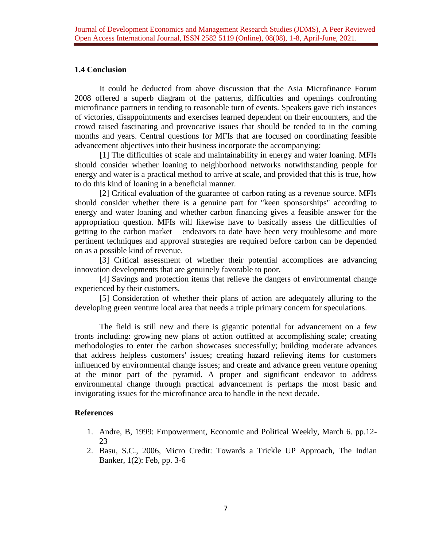# **1.4 Conclusion**

It could be deducted from above discussion that the Asia Microfinance Forum 2008 offered a superb diagram of the patterns, difficulties and openings confronting microfinance partners in tending to reasonable turn of events. Speakers gave rich instances of victories, disappointments and exercises learned dependent on their encounters, and the crowd raised fascinating and provocative issues that should be tended to in the coming months and years. Central questions for MFIs that are focused on coordinating feasible advancement objectives into their business incorporate the accompanying:

[1] The difficulties of scale and maintainability in energy and water loaning. MFIs should consider whether loaning to neighborhood networks notwithstanding people for energy and water is a practical method to arrive at scale, and provided that this is true, how to do this kind of loaning in a beneficial manner.

[2] Critical evaluation of the guarantee of carbon rating as a revenue source. MFIs should consider whether there is a genuine part for "keen sponsorships" according to energy and water loaning and whether carbon financing gives a feasible answer for the appropriation question. MFIs will likewise have to basically assess the difficulties of getting to the carbon market – endeavors to date have been very troublesome and more pertinent techniques and approval strategies are required before carbon can be depended on as a possible kind of revenue.

[3] Critical assessment of whether their potential accomplices are advancing innovation developments that are genuinely favorable to poor.

[4] Savings and protection items that relieve the dangers of environmental change experienced by their customers.

[5] Consideration of whether their plans of action are adequately alluring to the developing green venture local area that needs a triple primary concern for speculations.

The field is still new and there is gigantic potential for advancement on a few fronts including: growing new plans of action outfitted at accomplishing scale; creating methodologies to enter the carbon showcases successfully; building moderate advances that address helpless customers' issues; creating hazard relieving items for customers influenced by environmental change issues; and create and advance green venture opening at the minor part of the pyramid. A proper and significant endeavor to address environmental change through practical advancement is perhaps the most basic and invigorating issues for the microfinance area to handle in the next decade.

## **References**

- 1. Andre, B, 1999: Empowerment, Economic and Political Weekly, March 6. pp.12- 23
- 2. Basu, S.C., 2006, Micro Credit: Towards a Trickle UP Approach, The Indian Banker, 1(2): Feb, pp. 3-6